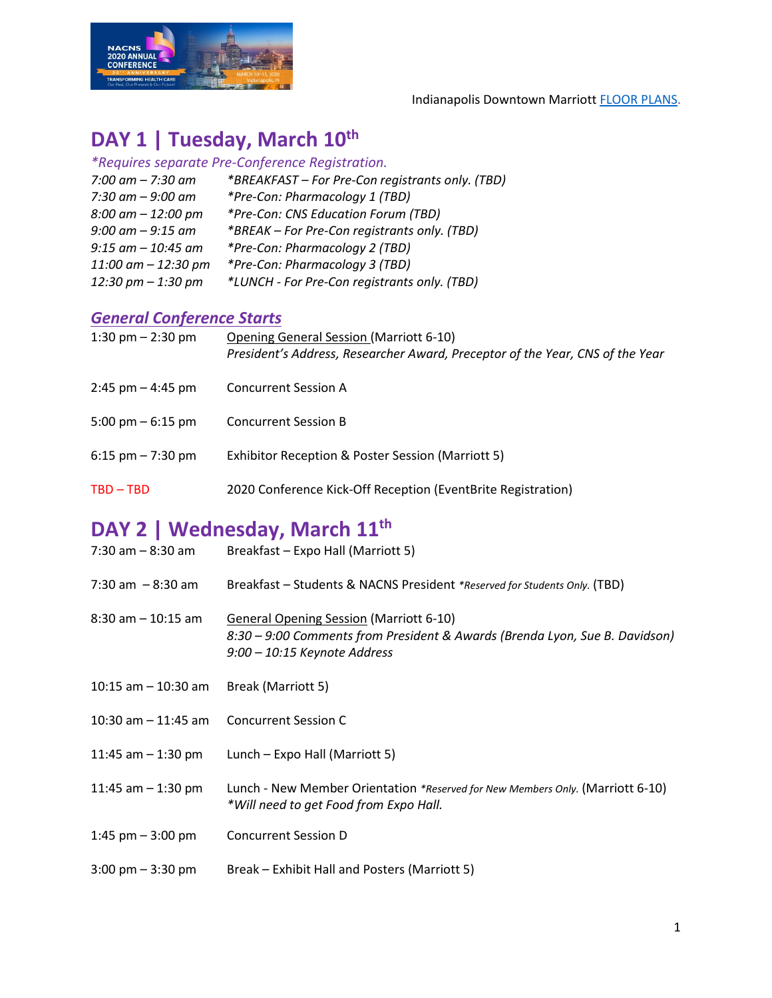

Indianapolis Downtown Marriot[t FLOOR PLANS.](https://www.marriott.com/hotels/event-planning/business-meeting/indcc-indianapolis-marriott-downtown/#m-capacity-container)

#### **DAY 1 | Tuesday, March 10th**

| *Requires separate Pre-Conference Registration.  |  |  |  |  |
|--------------------------------------------------|--|--|--|--|
| *BREAKFAST - For Pre-Con registrants only. (TBD) |  |  |  |  |
| *Pre-Con: Pharmacology 1 (TBD)                   |  |  |  |  |
| *Pre-Con: CNS Education Forum (TBD)              |  |  |  |  |
| *BREAK - For Pre-Con registrants only. (TBD)     |  |  |  |  |
| *Pre-Con: Pharmacology 2 (TBD)                   |  |  |  |  |
| *Pre-Con: Pharmacology 3 (TBD)                   |  |  |  |  |
| *LUNCH - For Pre-Con registrants only. (TBD)     |  |  |  |  |
|                                                  |  |  |  |  |

#### *General Conference Starts*

| 1:30 pm $-$ 2:30 pm  | Opening General Session (Marriott 6-10)<br>President's Address, Researcher Award, Preceptor of the Year, CNS of the Year |
|----------------------|--------------------------------------------------------------------------------------------------------------------------|
| $2:45$ pm $-4:45$ pm | <b>Concurrent Session A</b>                                                                                              |
| 5:00 pm $-$ 6:15 pm  | <b>Concurrent Session B</b>                                                                                              |
| 6:15 pm $- 7:30$ pm  | Exhibitor Reception & Poster Session (Marriott 5)                                                                        |
| $TBD - TBD$          | 2020 Conference Kick-Off Reception (EventBrite Registration)                                                             |
|                      |                                                                                                                          |

## **DAY 2 | Wednesday, March 11th**

| $7:30$ am $-8:30$ am                | Breakfast - Expo Hall (Marriott 5)                                                                                                                            |
|-------------------------------------|---------------------------------------------------------------------------------------------------------------------------------------------------------------|
| $7:30$ am $-8:30$ am                | Breakfast - Students & NACNS President *Reserved for Students Only. (TBD)                                                                                     |
| $8:30$ am $-10:15$ am               | <b>General Opening Session (Marriott 6-10)</b><br>8:30 – 9:00 Comments from President & Awards (Brenda Lyon, Sue B. Davidson)<br>9:00 - 10:15 Keynote Address |
| $10:15$ am $-10:30$ am              | Break (Marriott 5)                                                                                                                                            |
| 10:30 am $-$ 11:45 am               | <b>Concurrent Session C</b>                                                                                                                                   |
| 11:45 am $-$ 1:30 pm                | Lunch – Expo Hall (Marriott 5)                                                                                                                                |
| 11:45 am $-$ 1:30 pm                | Lunch - New Member Orientation *Reserved for New Members Only. (Marriott 6-10)<br>*Will need to get Food from Expo Hall.                                      |
| 1:45 pm $-$ 3:00 pm                 | <b>Concurrent Session D</b>                                                                                                                                   |
| $3:00 \text{ pm} - 3:30 \text{ pm}$ | Break – Exhibit Hall and Posters (Marriott 5)                                                                                                                 |